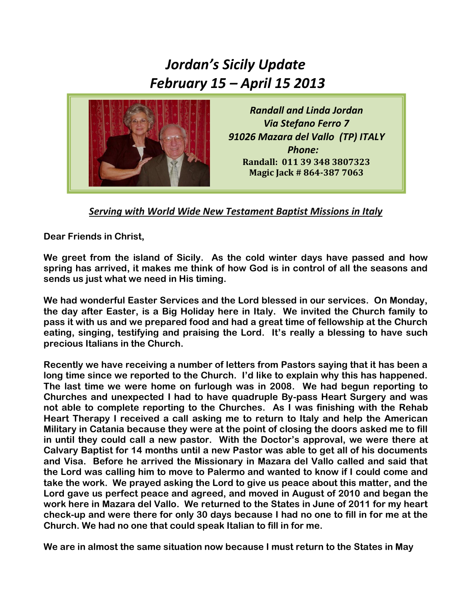## *Jordan's Sicily Update February 15 – April 15 2013*



*Randall and Linda Jordan Via Stefano Ferro 7 91026 Mazara del Vallo (TP) ITALY Phone:* **Randall: 011 39 348 3807323 Magic Jack # 864-387 7063**

*Serving with World Wide New Testament Baptist Missions in Italy*

**Dear Friends in Christ,**

**We greet from the island of Sicily. As the cold winter days have passed and how spring has arrived, it makes me think of how God is in control of all the seasons and sends us just what we need in His timing.**

**We had wonderful Easter Services and the Lord blessed in our services. On Monday, the day after Easter, is a Big Holiday here in Italy. We invited the Church family to pass it with us and we prepared food and had a great time of fellowship at the Church eating, singing, testifying and praising the Lord. It's really a blessing to have such precious Italians in the Church.**

**Recently we have receiving a number of letters from Pastors saying that it has been a long time since we reported to the Church. I'd like to explain why this has happened. The last time we were home on furlough was in 2008. We had begun reporting to Churches and unexpected I had to have quadruple By-pass Heart Surgery and was not able to complete reporting to the Churches. As I was finishing with the Rehab Heart Therapy I received a call asking me to return to Italy and help the American Military in Catania because they were at the point of closing the doors asked me to fill in until they could call a new pastor. With the Doctor's approval, we were there at Calvary Baptist for 14 months until a new Pastor was able to get all of his documents and Visa. Before he arrived the Missionary in Mazara del Vallo called and said that the Lord was calling him to move to Palermo and wanted to know if I could come and take the work. We prayed asking the Lord to give us peace about this matter, and the Lord gave us perfect peace and agreed, and moved in August of 2010 and began the work here in Mazara del Vallo. We returned to the States in June of 2011 for my heart check-up and were there for only 30 days because I had no one to fill in for me at the Church. We had no one that could speak Italian to fill in for me.**

**We are in almost the same situation now because I must return to the States in May**